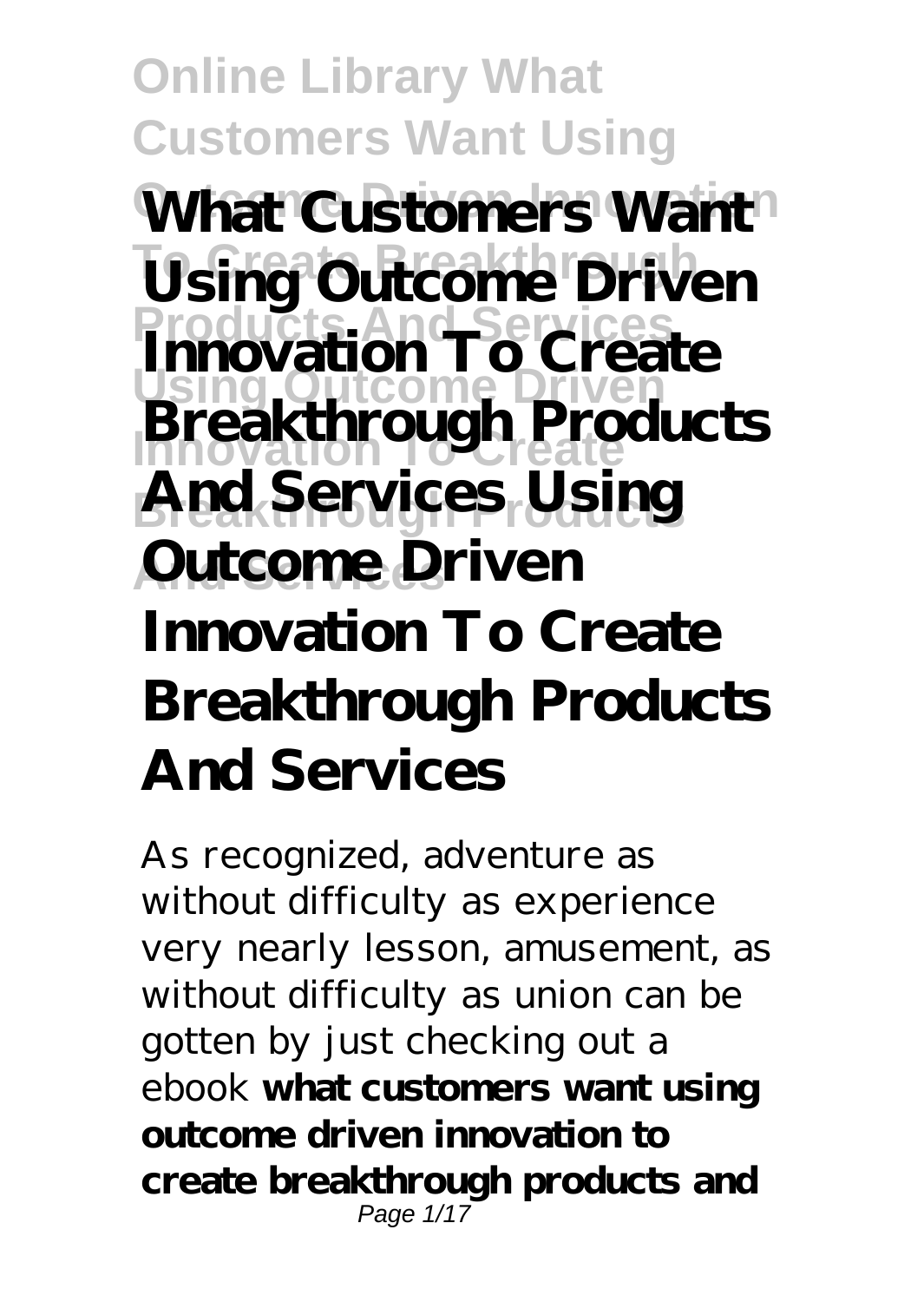**Online Library What Customers Want Using What Customers Want Using Outcome Driven Products And Services Innovation To Create Using Outcome Driven Innovation To Create**  $And Services, Using$ **Autcome Driven Breakthrough Products Innovation To Create Breakthrough Products And Services**

As recognized, adventure as without difficulty as experience very nearly lesson, amusement, as without difficulty as union can be gotten by just checking out a ebook **what customers want using outcome driven innovation to create breakthrough products and** Page 1/17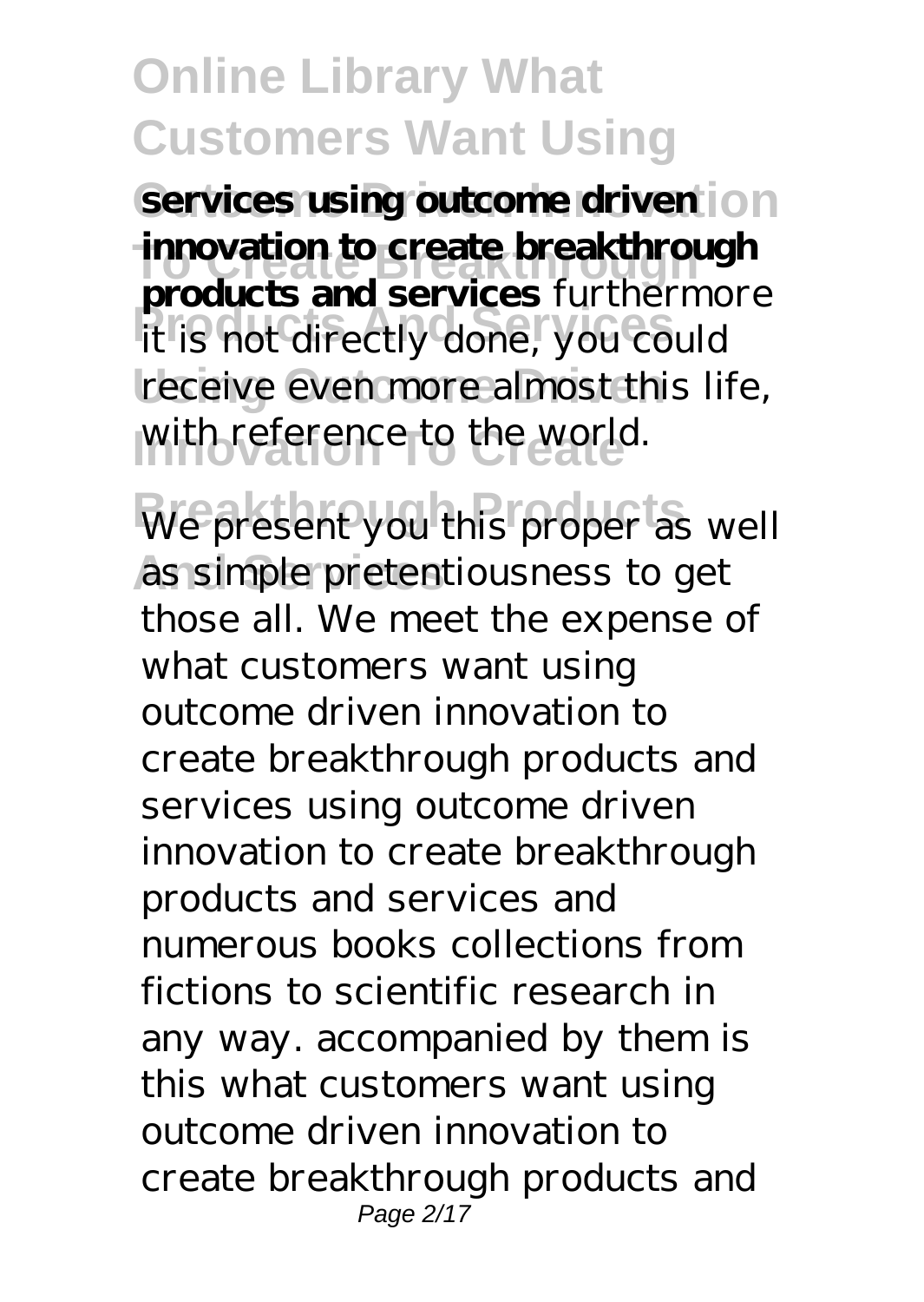services using outcome driven on **innovation to create breakthrough Products And Services** it is not directly done, you could receive even more almost this life, with reference to the world. **products and services** furthermore

We present you this proper as well as simple pretentiousness to get those all. We meet the expense of what customers want using outcome driven innovation to create breakthrough products and services using outcome driven innovation to create breakthrough products and services and numerous books collections from fictions to scientific research in any way. accompanied by them is this what customers want using outcome driven innovation to create breakthrough products and Page 2/17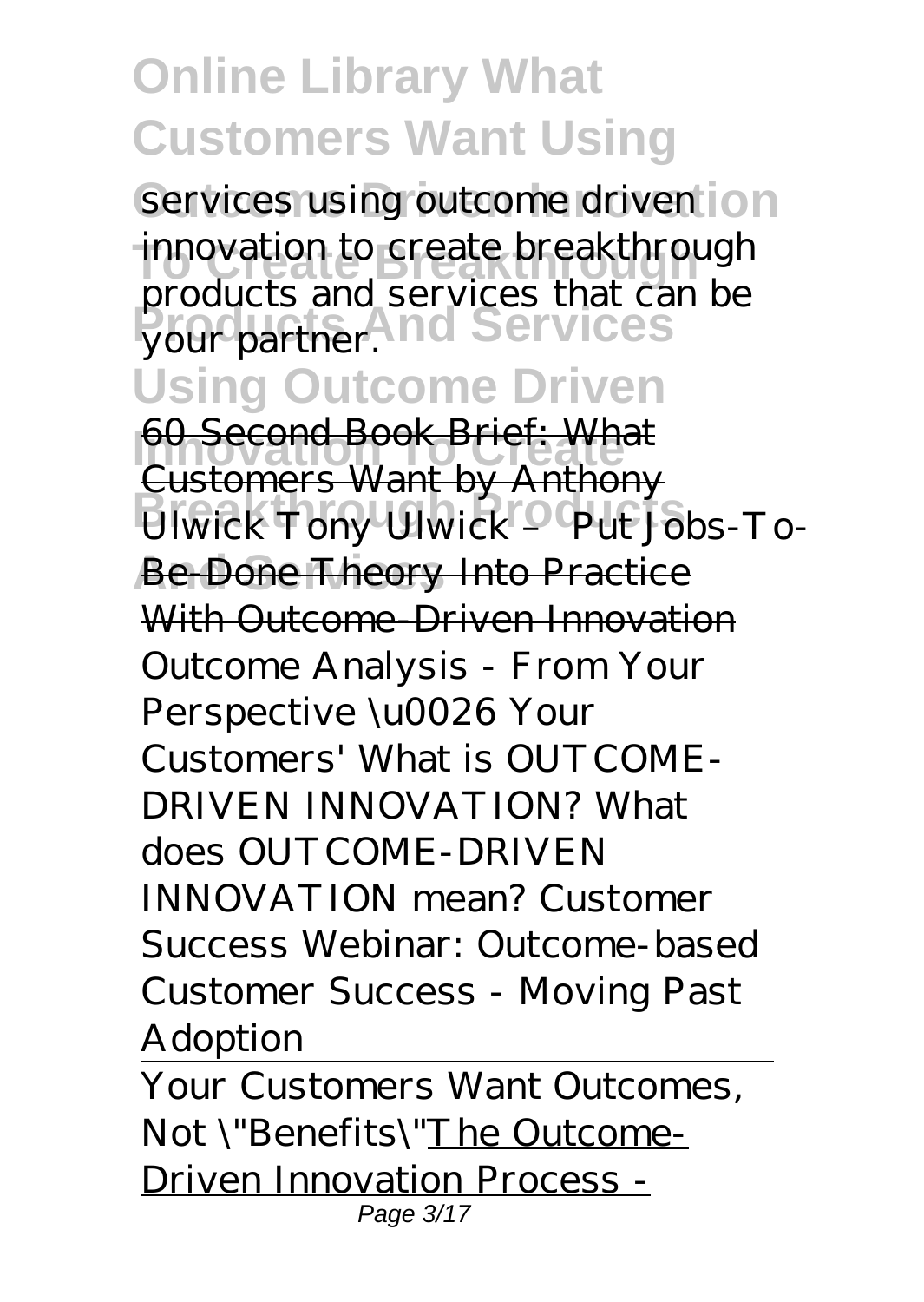services using outcome driven on innovation to create breakthrough **Products And Services** your partner. products and services that can be

#### **Using Outcome Driven**

**60 Second Book Brief: What Breakthrough Products** Ulwick Tony Ulwick – Put Jobs-To-**Be Done Theory Into Practice** Customers Want by Anthony With Outcome, Driven Innovation *Outcome Analysis - From Your Perspective \u0026 Your Customers' What is OUTCOME-DRIVEN INNOVATION? What does OUTCOME-DRIVEN INNOVATION mean? Customer Success Webinar: Outcome-based Customer Success - Moving Past Adoption*

Your Customers Want Outcomes, Not \"Benefits\"The Outcome-Driven Innovation Process - Page 3/17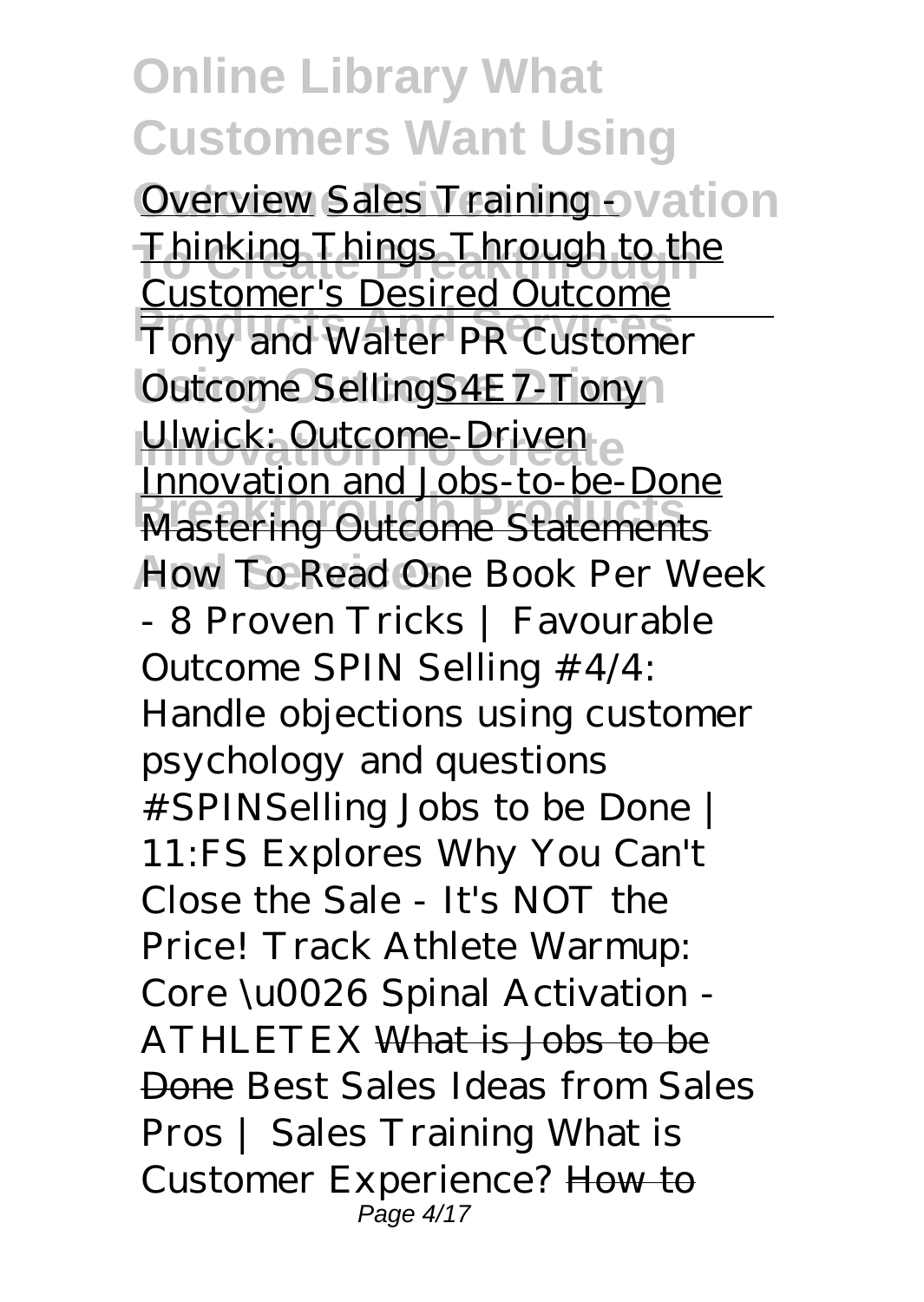Overview Sales Training ovation **Thinking Things Through to the Products And Services** Tony and Walter PR Customer Outcome SellingS4E7-Tony Ulwick: Outcome-Driven **Britannia Products** to be Bond<br>Mastering Outcome Statements **And Services** *How To Read One Book Per Week* Customer's Desired Outcome Innovation and Jobs-to-be-Done *- 8 Proven Tricks | Favourable Outcome SPIN Selling #4/4: Handle objections using customer psychology and questions #SPINSelling Jobs to be Done | 11:FS Explores* Why You Can't Close the Sale - It's NOT the Price! Track Athlete Warmup: Core \u0026 Spinal Activation - ATHLETEX What is Jobs to be Done Best Sales Ideas from Sales Pros | Sales Training What is Customer Experience? How to Page 4/17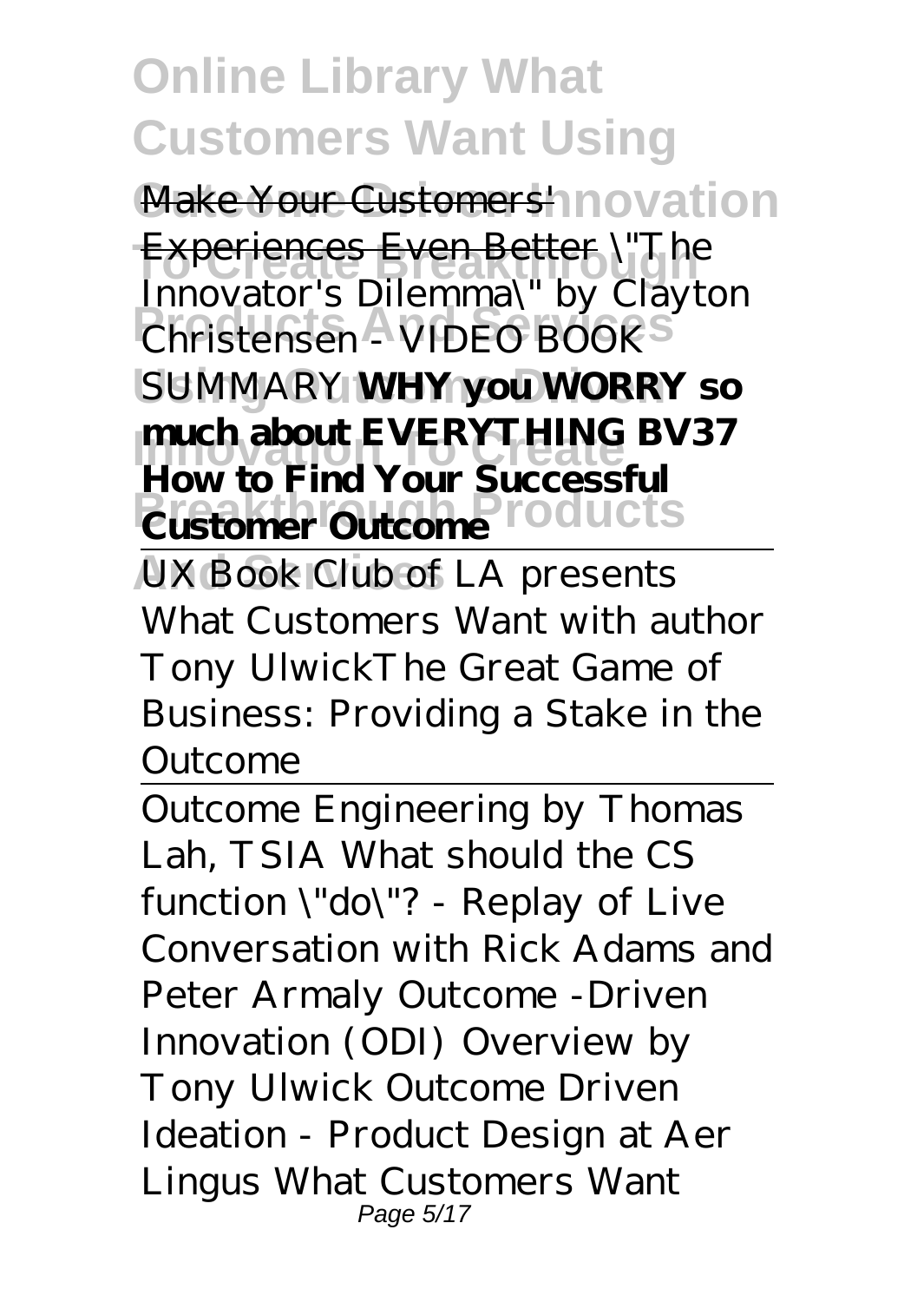Make Your Customers' novation Experiences Even Better *\"The* **Products And Services** *Christensen - VIDEO BOOK* **Using Outcome Driven** *SUMMARY* **WHY you WORRY so Innovation EVERYTHING** BV37 **Customer Outcome Products** *Innovator's Dilemma\" by Clayton* **How to Find Your Successful**

UX Book Club of LA presents What Customers Want with author Tony Ulwick*The Great Game of Business: Providing a Stake in the Outcome*

Outcome Engineering by Thomas Lah, TSIA What should the CS function \"do\"? - Replay of Live Conversation with Rick Adams and Peter Armaly Outcome -Driven Innovation (ODI) Overview by Tony Ulwick *Outcome Driven Ideation - Product Design at Aer Lingus What Customers Want* Page 5/17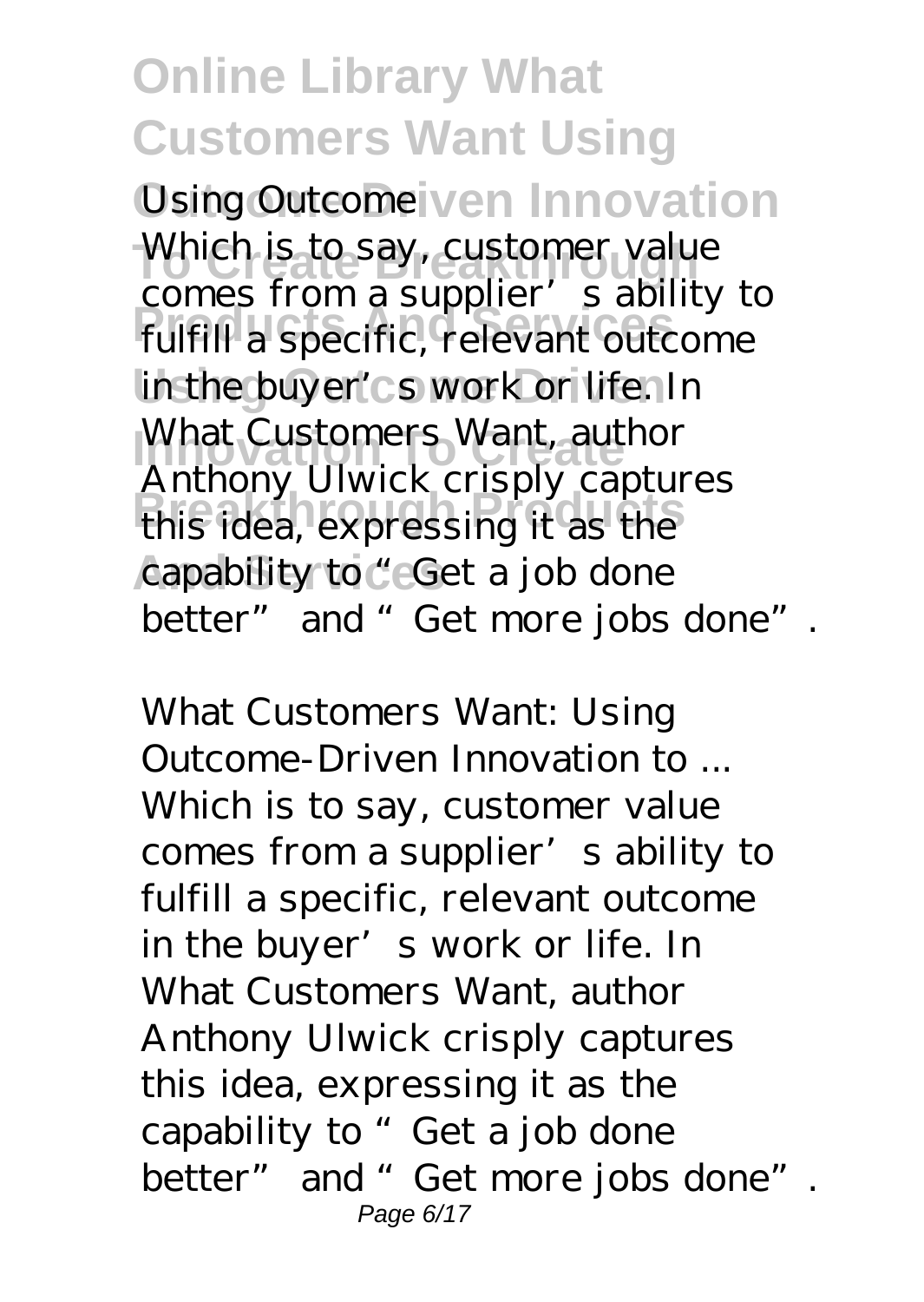*Using Outcome* **ven Innovation** Which is to say, customer value **Products And Services** fulfill a specific, relevant outcome in the buyer's work or life. In What Customers Want, author **Breakthrough Products** this idea, expressing it as the capability to "Get a job done comes from a supplier's ability to Anthony Ulwick crisply captures better" and "Get more jobs done".

*What Customers Want: Using Outcome-Driven Innovation to ...* Which is to say, customer value comes from a supplier's ability to fulfill a specific, relevant outcome in the buyer's work or life. In What Customers Want, author Anthony Ulwick crisply captures this idea, expressing it as the capability to "Get a job done better" and " Get more jobs done". Page 6/17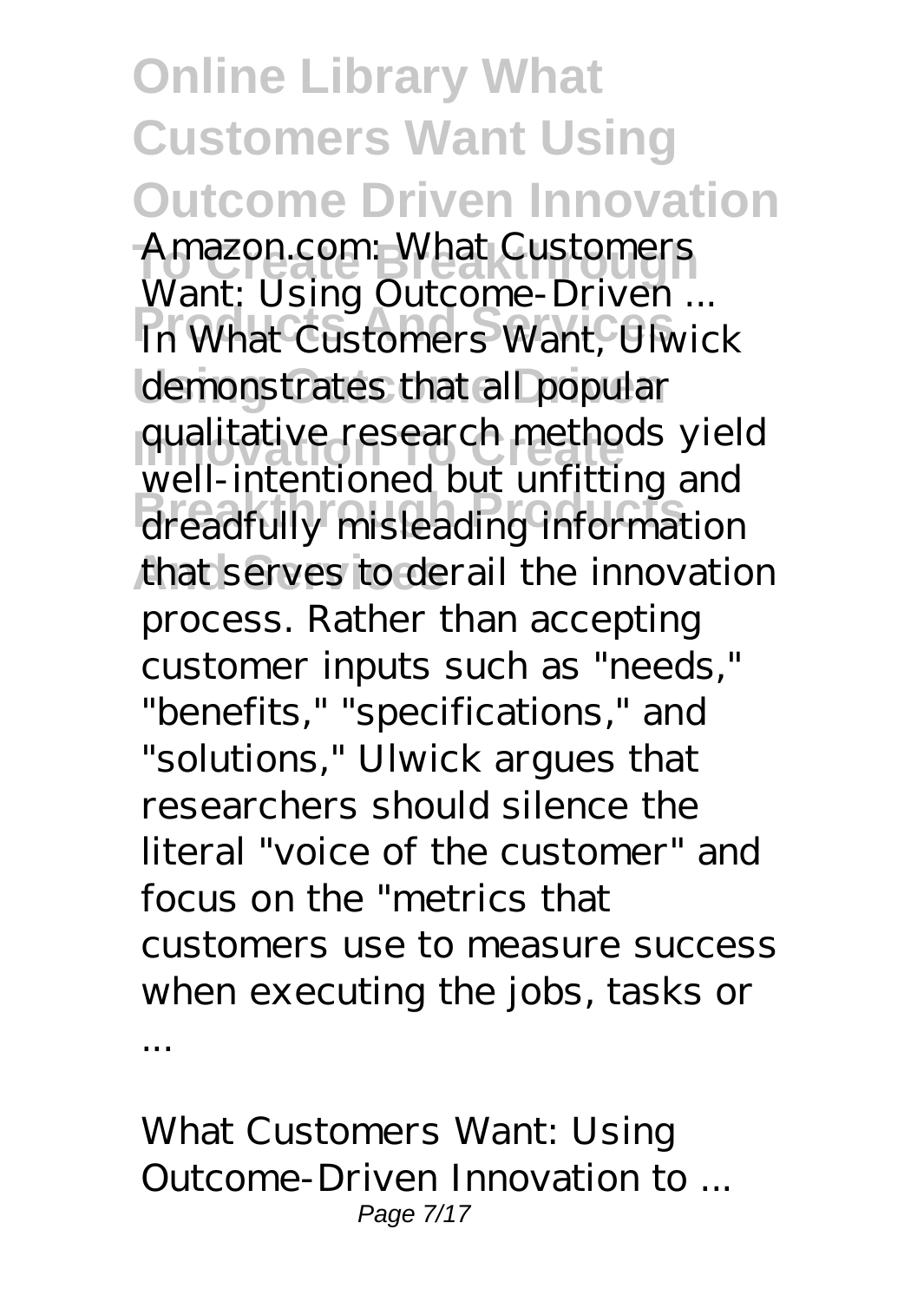**Online Library What Customers Want Using Outcome Driven Innovation To Create Breakthrough** *Amazon.com: What Customers* **Products And Services** In What Customers Want, Ulwick demonstrates that all popular **Innovation To Create** qualitative research methods yield **Breakthrough Products** dreadfully misleading information that serves to derail the innovation *Want: Using Outcome-Driven ...* well-intentioned but unfitting and process. Rather than accepting customer inputs such as "needs," "benefits," "specifications," and "solutions," Ulwick argues that researchers should silence the literal "voice of the customer" and focus on the "metrics that customers use to measure success when executing the jobs, tasks or ...

*What Customers Want: Using Outcome-Driven Innovation to ...* Page 7/17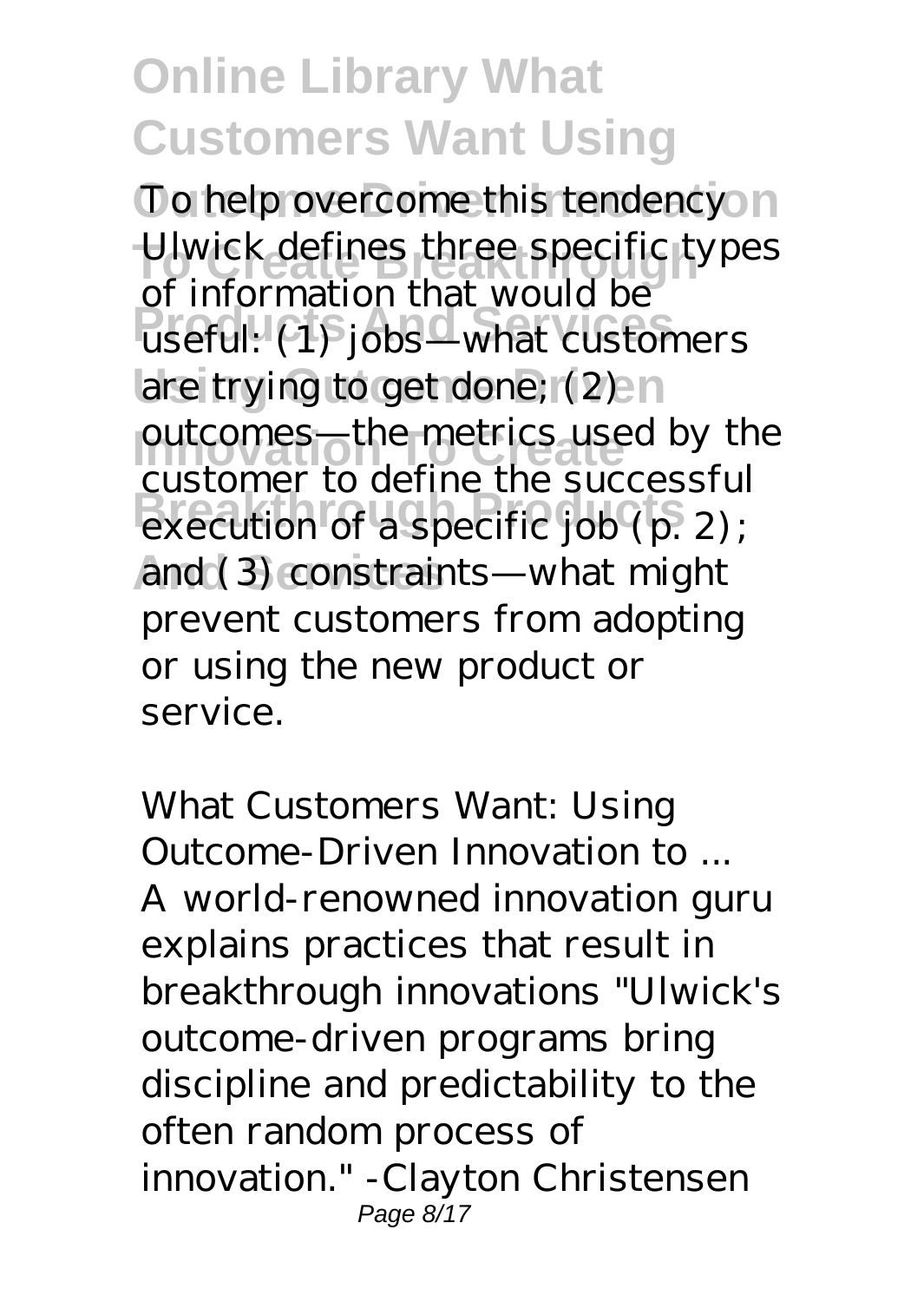To help overcome this tendencyon Ulwick defines three specific types **Products And Services** useful: (1) jobs—what customers are trying to get done; (2) and outcomes—the metrics used by the execution of a specific job (p. 2); and (3) constraints—what might of information that would be customer to define the successful prevent customers from adopting or using the new product or service.

*What Customers Want: Using Outcome-Driven Innovation to ...* A world-renowned innovation guru explains practices that result in breakthrough innovations "Ulwick's outcome-driven programs bring discipline and predictability to the often random process of innovation." -Clayton Christensen Page 8/17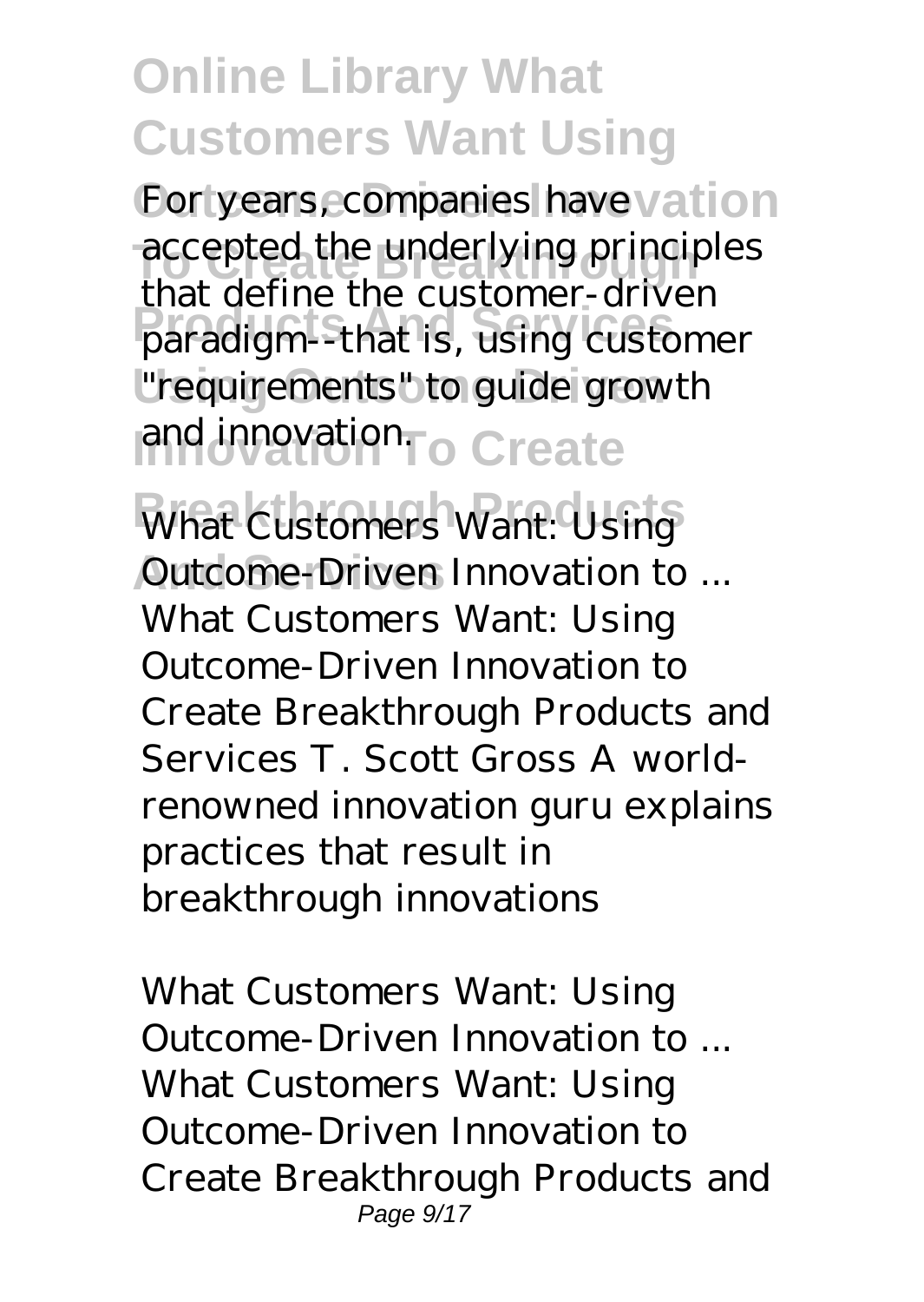For years, companies have vation accepted the underlying principles **Products And Services** paradigm--that is, using customer **Using Outcome Driven** "requirements" to guide growth and innovation<sub>To</sub> Create that define the customer-driven

*What Customers Want: Using* **And Services** *Outcome-Driven Innovation to ...* What Customers Want: Using Outcome-Driven Innovation to Create Breakthrough Products and Services T. Scott Gross A worldrenowned innovation guru explains practices that result in breakthrough innovations

*What Customers Want: Using Outcome-Driven Innovation to ...* What Customers Want: Using Outcome-Driven Innovation to Create Breakthrough Products and Page 9/17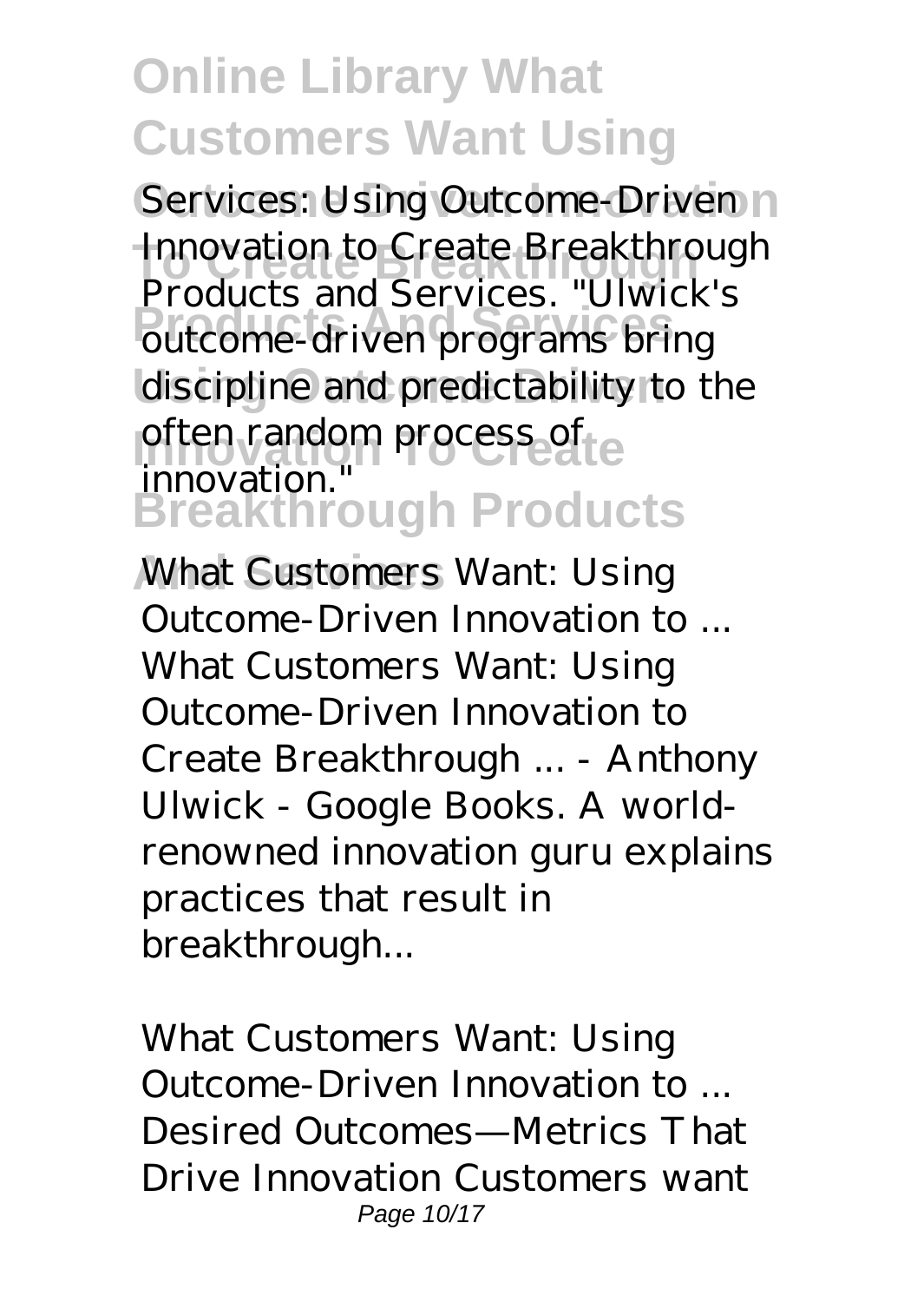Services: Using Outcome-Driven n Innovation to Create Breakthrough **Products And Services** outcome-driven programs bring discipline and predictability to the often random process of **Breakthrough Products** Products and Services. "Ulwick's innovation.

**And Services** *What Customers Want: Using Outcome-Driven Innovation to ...* What Customers Want: Using Outcome-Driven Innovation to Create Breakthrough ... - Anthony Ulwick - Google Books. A worldrenowned innovation guru explains practices that result in breakthrough...

*What Customers Want: Using Outcome-Driven Innovation to ...* Desired Outcomes—Metrics That Drive Innovation Customers want Page 10/17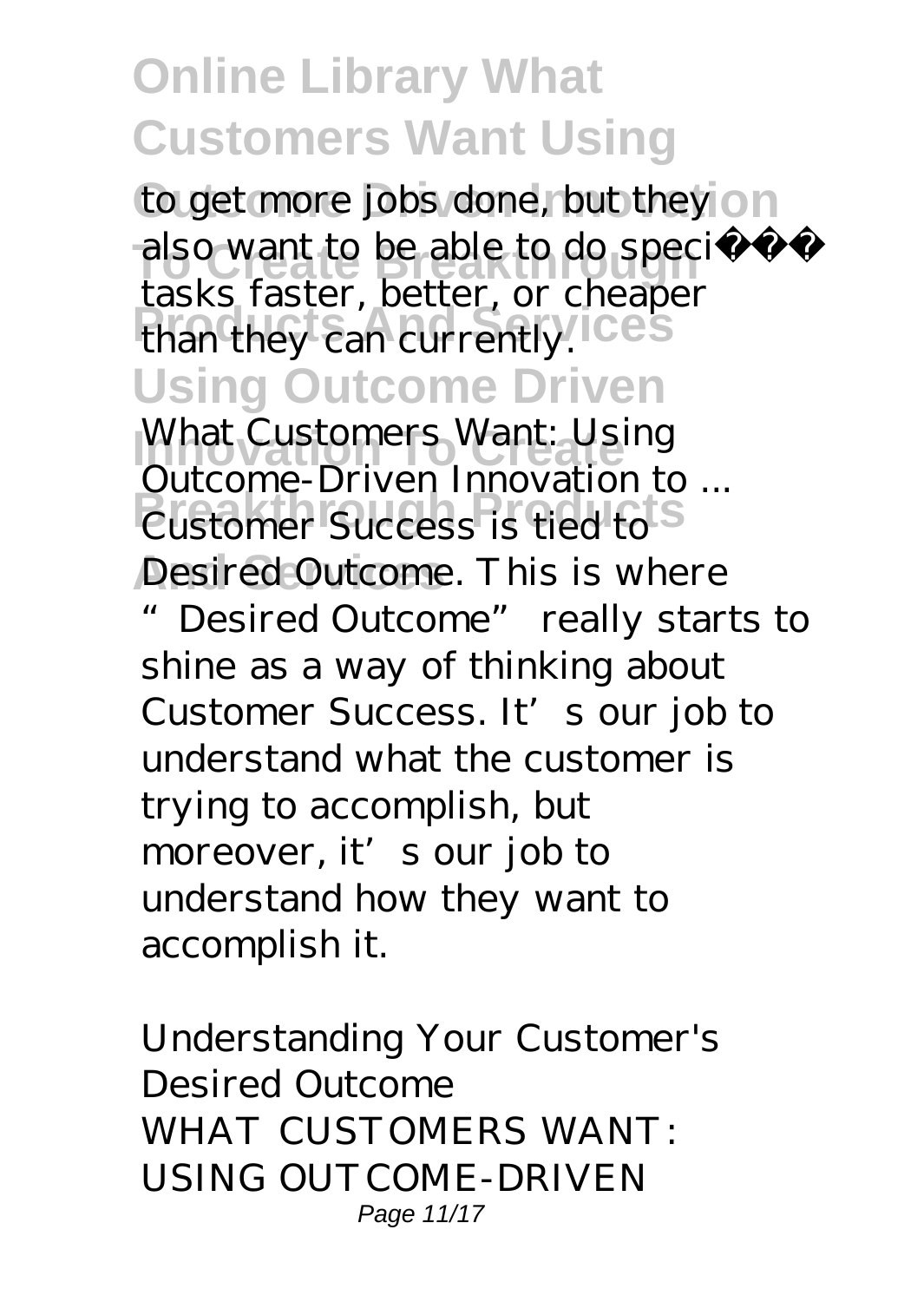to get more jobs done, but they on also want to be able to do specific **Products And Services** than they can currently. **Using Outcome Driven** tasks faster, better, or cheaper

*<i>International Customers Want: Using* **Breakthrough Products** Desired Outcome. This is where *Outcome-Driven Innovation to ...*

"Desired Outcome" really starts to shine as a way of thinking about Customer Success. It's our job to understand what the customer is trying to accomplish, but moreover, it's our job to understand how they want to accomplish it.

*Understanding Your Customer's Desired Outcome* WHAT CUSTOMERS WANT: USING OUTCOME-DRIVEN Page 11/17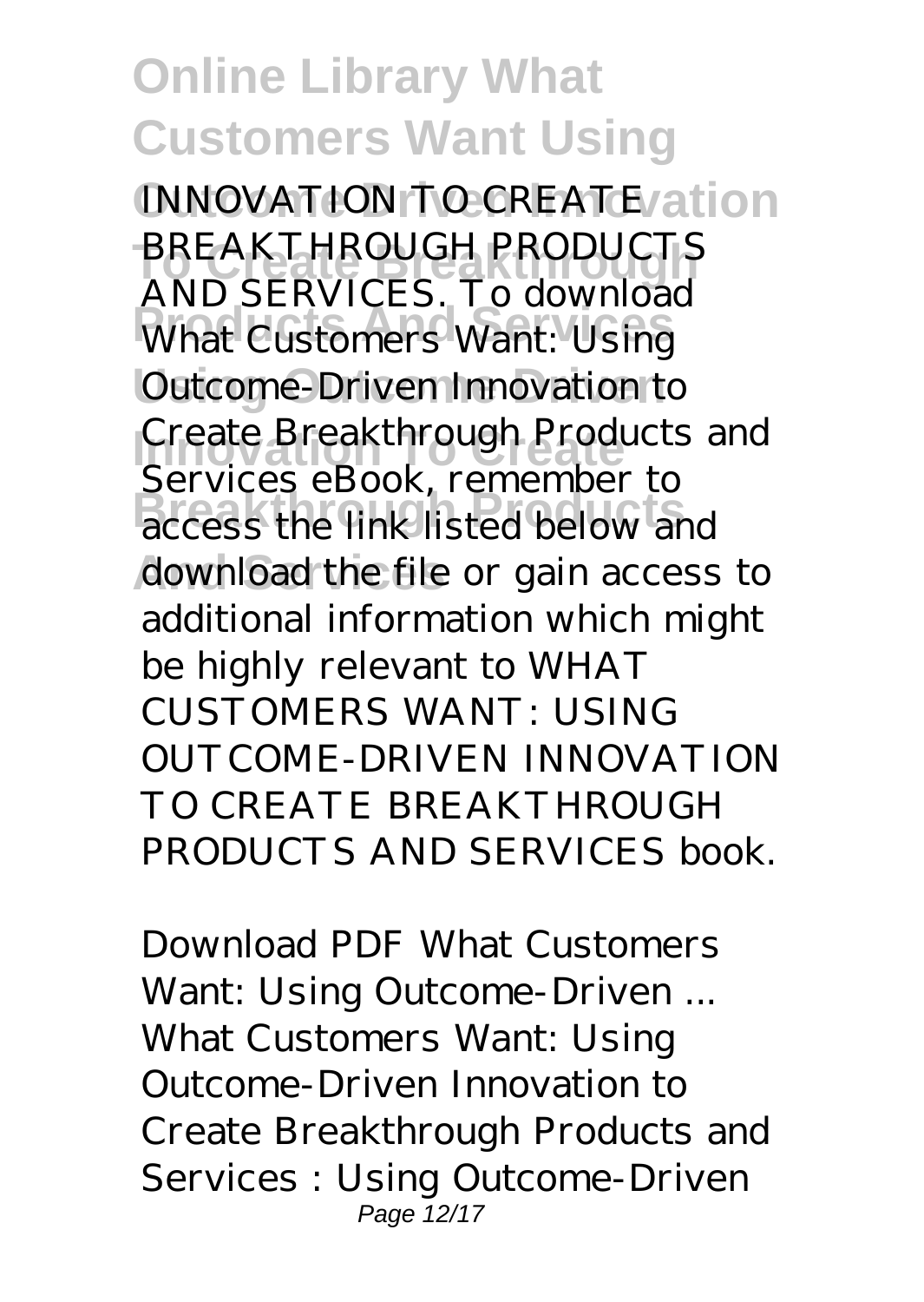**INNOVATION TO CREATE/ation To Create Breakthrough** AND SERVICES. To download **Products And Services** What Customers Want: Using **Using Outcome Driven** Outcome-Driven Innovation to Create Breakthrough Products and **Breakthrough Products** access the link listed below and download the file or gain access to BREAKTHROUGH PRODUCTS Services eBook, remember to additional information which might be highly relevant to WHAT CUSTOMERS WANT: USING OUTCOME-DRIVEN INNOVATION TO CREATE BREAKTHROUGH PRODUCTS AND SERVICES book.

*Download PDF What Customers Want: Using Outcome-Driven ...* What Customers Want: Using Outcome-Driven Innovation to Create Breakthrough Products and Services : Using Outcome-Driven Page 12/17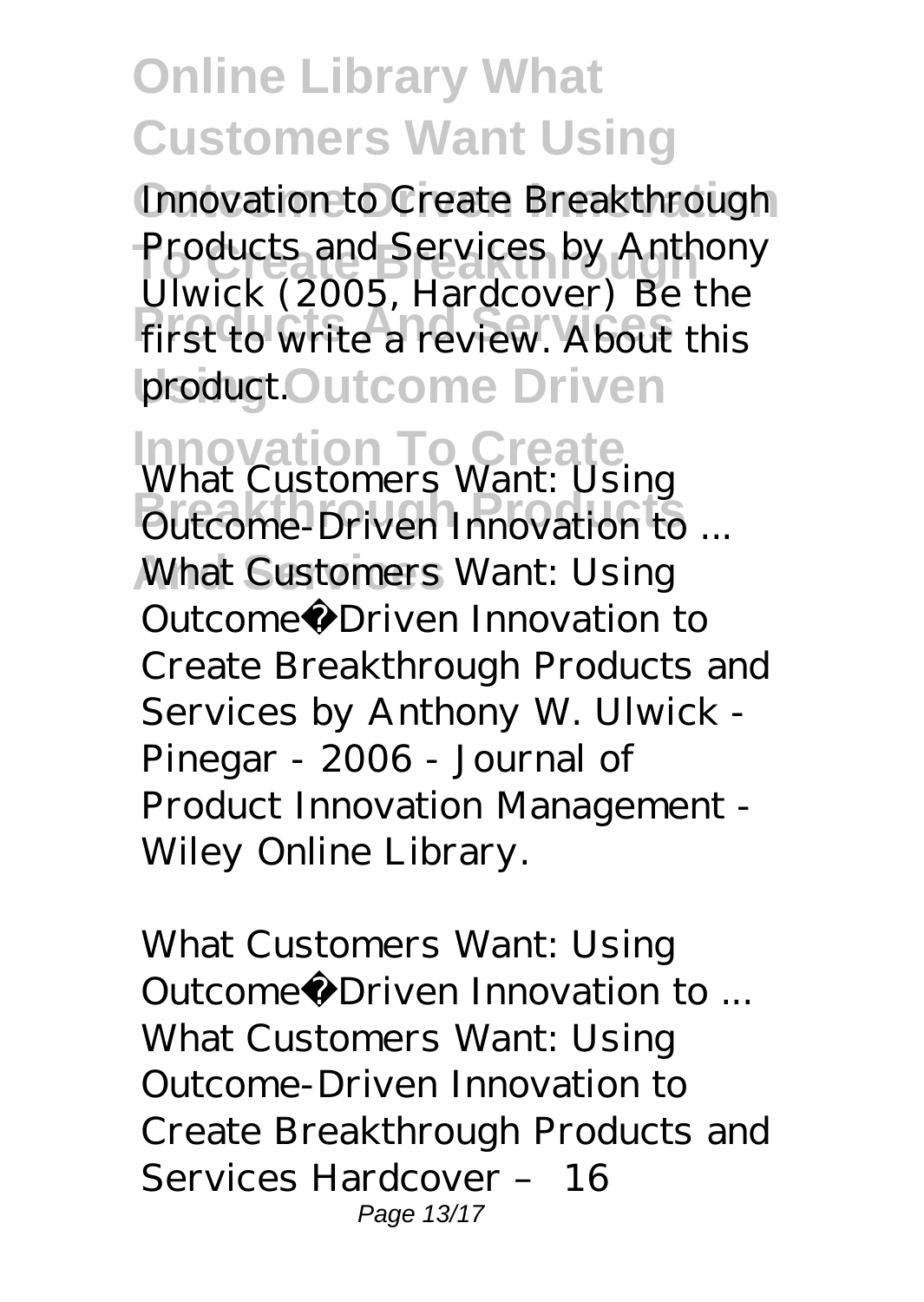Innovation to Create Breakthrough Products and Services by Anthony first to write a review. About this product.Outcome Driven Ulwick (2005, Hardcover) Be the

**Innovation To Create** *What Customers Want: Using* **Breakthrough Products** *Outcome-Driven Innovation to ...* **What Customers Want: Using** Outcome‐Driven Innovation to Create Breakthrough Products and Services by Anthony W. Ulwick - Pinegar - 2006 - Journal of Product Innovation Management - Wiley Online Library.

*What Customers Want: Using Outcome‐Driven Innovation to ...* What Customers Want: Using Outcome-Driven Innovation to Create Breakthrough Products and Services Hardcover – 16 Page 13/17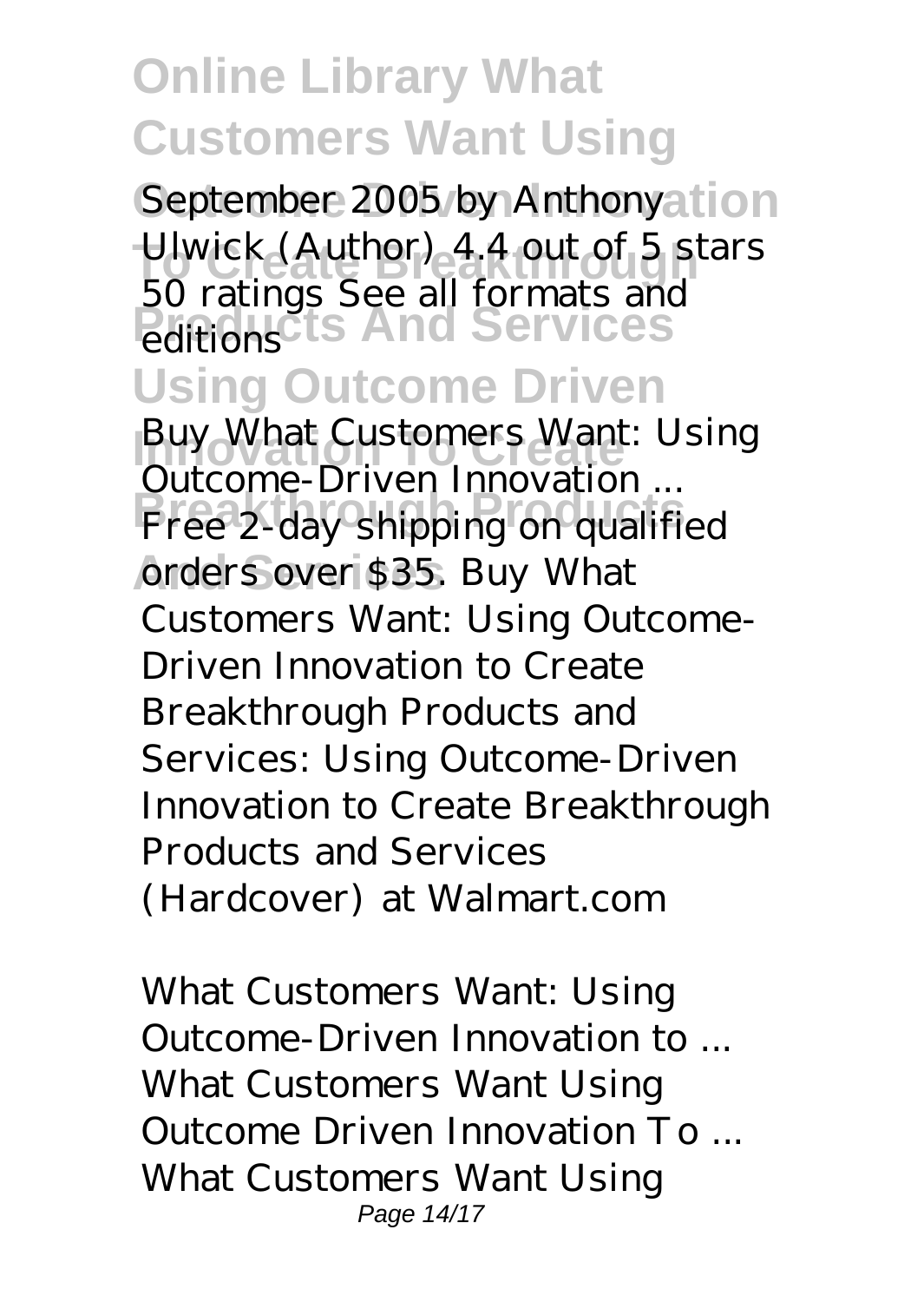September 2005 by Anthonyation Ulwick (Author) 4.4 out of 5 s<sup>t</sup> **Products And Services** Ulwick (Author) 4.4 out of 5 stars 50 ratings See all formats and editions

#### **Using Outcome Driven**

**Innovation To Create** *Buy What Customers Want: Using* **Breakthrough Products** Free 2-day shipping on qualified orders over \$35. Buy What *Outcome-Driven Innovation ...* Customers Want: Using Outcome-Driven Innovation to Create Breakthrough Products and Services: Using Outcome-Driven Innovation to Create Breakthrough Products and Services (Hardcover) at Walmart.com

*What Customers Want: Using Outcome-Driven Innovation to ...* What Customers Want Using Outcome Driven Innovation To ... What Customers Want Using Page 14/17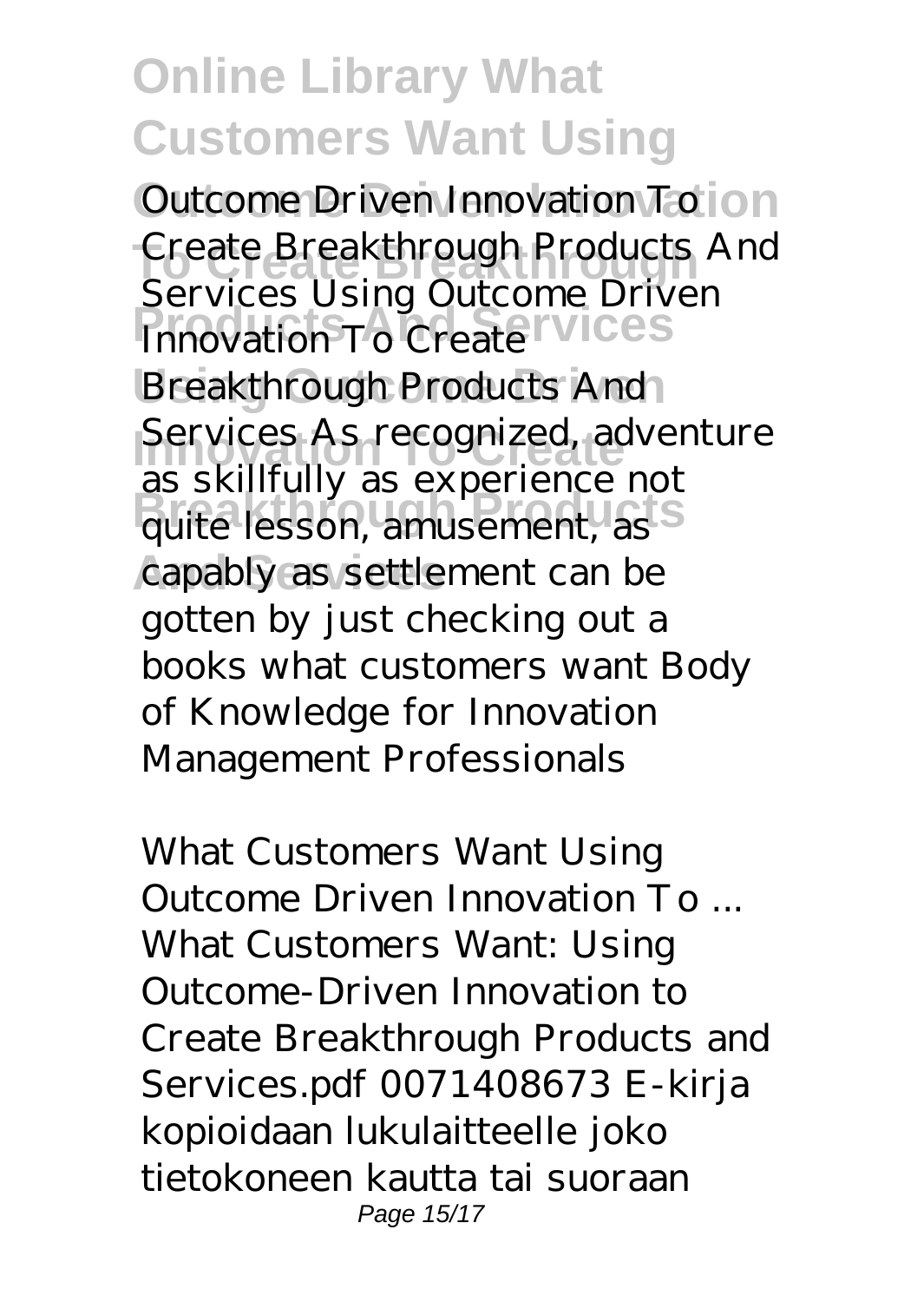**Outcome Driven Innovation** Outcome Driven Innovation To **To Create Breakthrough** Create Breakthrough Products And **Products And Services** Breakthrough Products And Services As recognized, adventure as shimany as experience not capably as settlement can be Services Using Outcome Driven as skillfully as experience not gotten by just checking out a books what customers want Body of Knowledge for Innovation Management Professionals

*What Customers Want Using Outcome Driven Innovation To ...* What Customers Want: Using Outcome-Driven Innovation to Create Breakthrough Products and Services.pdf 0071408673 E-kirja kopioidaan lukulaitteelle joko tietokoneen kautta tai suoraan Page 15/17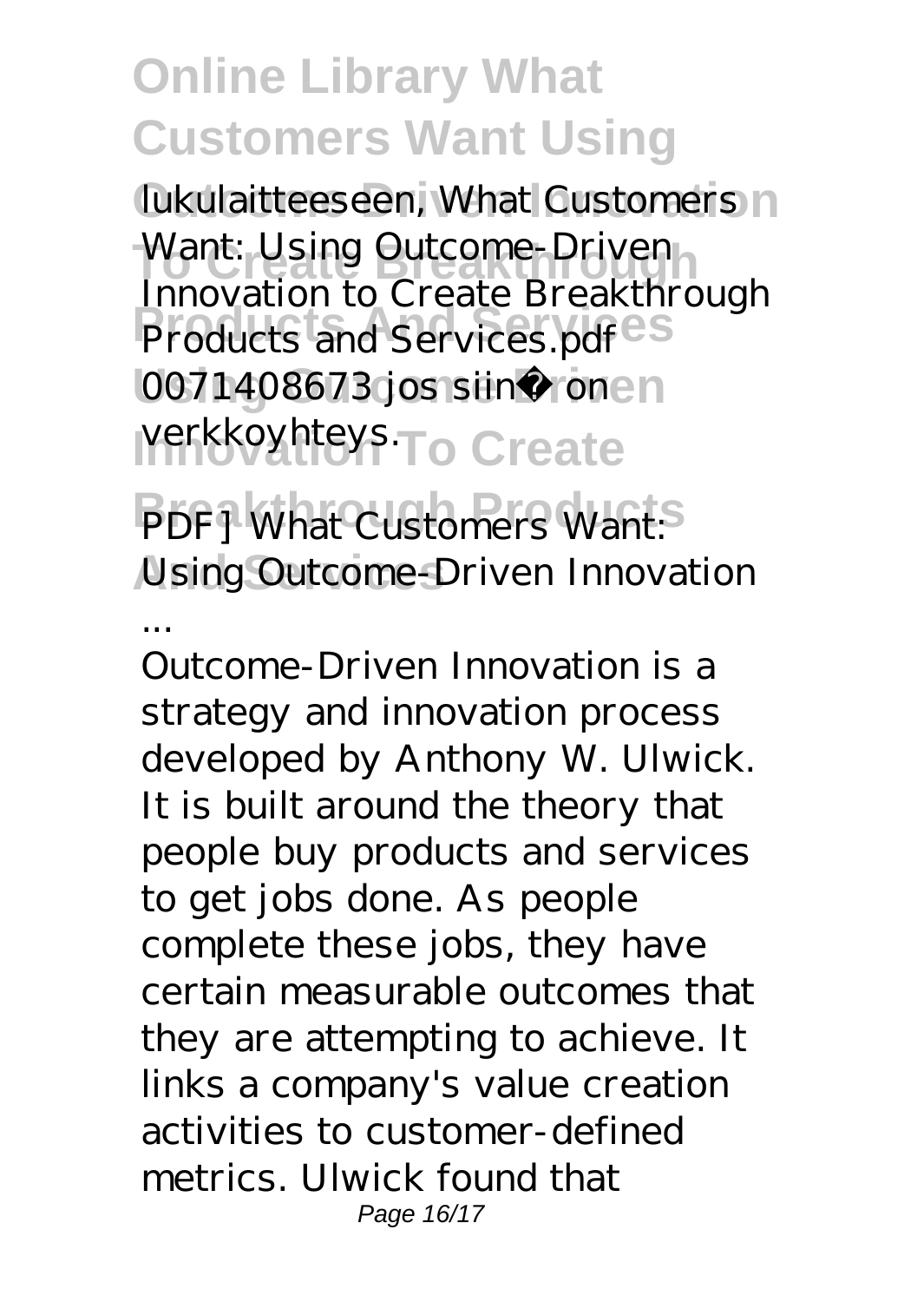lukulaitteeseen, What Customers n Want: Using Outcome-Driven **Products And Services** Products and Services.pdf 0071408673 jos siinä ronen verkkoyhteys.<sub>To</sub> Create Innovation to Create Breakthrough

 $PDFJ$  What Customers Want: **And Services** *Using Outcome-Driven Innovation*

*...*

Outcome-Driven Innovation is a strategy and innovation process developed by Anthony W. Ulwick. It is built around the theory that people buy products and services to get jobs done. As people complete these jobs, they have certain measurable outcomes that they are attempting to achieve. It links a company's value creation activities to customer-defined metrics. Ulwick found that Page 16/17